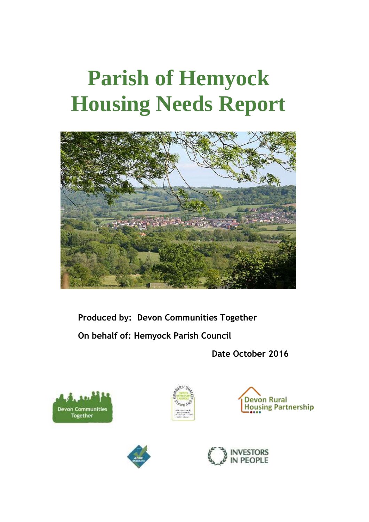# **Parish of Hemyock Housing Needs Report**



**Produced by: Devon Communities Together On behalf of: Hemyock Parish Council**

**Date October 2016**









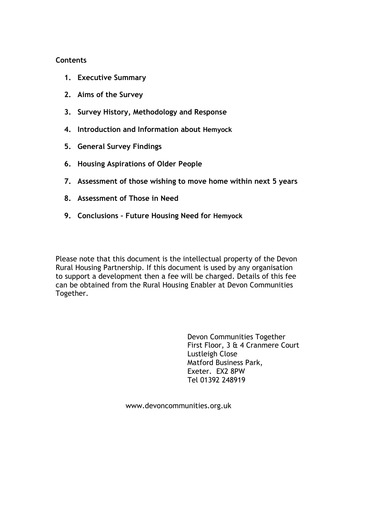## **Contents**

- **1. Executive Summary**
- **2. Aims of the Survey**
- **3. Survey History, Methodology and Response**
- **4. Introduction and Information about Hemyock**
- **5. General Survey Findings**
- **6. Housing Aspirations of Older People**
- **7. Assessment of those wishing to move home within next 5 years**
- **8. Assessment of Those in Need**
- **9. Conclusions – Future Housing Need for Hemyock**

Please note that this document is the intellectual property of the Devon Rural Housing Partnership. If this document is used by any organisation to support a development then a fee will be charged. Details of this fee can be obtained from the Rural Housing Enabler at Devon Communities Together.

> Devon Communities Together First Floor, 3 & 4 Cranmere Court Lustleigh Close Matford Business Park, Exeter. EX2 8PW Tel 01392 248919

www.devoncommunities.org.uk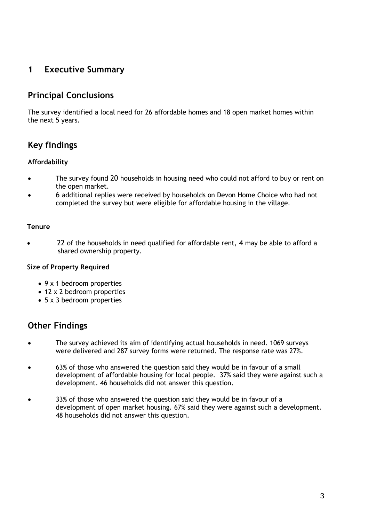# **1 Executive Summary**

# **Principal Conclusions**

The survey identified a local need for 26 affordable homes and 18 open market homes within the next 5 years.

# **Key findings**

# **Affordability**

- The survey found 20 households in housing need who could not afford to buy or rent on the open market.
- 6 additional replies were received by households on Devon Home Choice who had not completed the survey but were eligible for affordable housing in the village.

## **Tenure**

 22 of the households in need qualified for affordable rent, 4 may be able to afford a shared ownership property.

#### **Size of Property Required**

- 9 x 1 bedroom properties
- 12 x 2 bedroom properties
- 5 x 3 bedroom properties

# **Other Findings**

- The survey achieved its aim of identifying actual households in need. 1069 surveys were delivered and 287 survey forms were returned. The response rate was 27%.
- 63% of those who answered the question said they would be in favour of a small development of affordable housing for local people. 37% said they were against such a development. 46 households did not answer this question.
- 33% of those who answered the question said they would be in favour of a development of open market housing. 67% said they were against such a development. 48 households did not answer this question.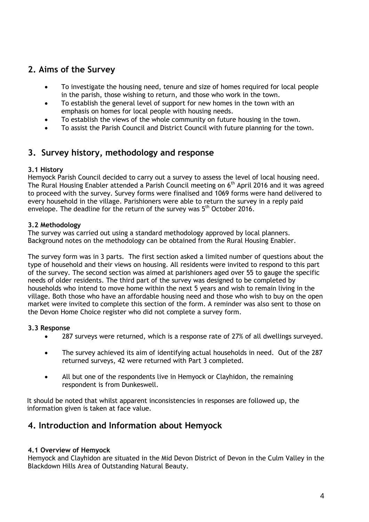# **2. Aims of the Survey**

- To investigate the housing need, tenure and size of homes required for local people in the parish, those wishing to return, and those who work in the town.
- To establish the general level of support for new homes in the town with an emphasis on homes for local people with housing needs.
- To establish the views of the whole community on future housing in the town.
- To assist the Parish Council and District Council with future planning for the town.

# **3. Survey history, methodology and response**

# **3.1 History**

Hemyock Parish Council decided to carry out a survey to assess the level of local housing need. The Rural Housing Enabler attended a Parish Council meeting on 6<sup>th</sup> April 2016 and it was agreed to proceed with the survey. Survey forms were finalised and 1069 forms were hand delivered to every household in the village. Parishioners were able to return the survey in a reply paid envelope. The deadline for the return of the survey was 5<sup>th</sup> October 2016.

# **3.2 Methodology**

The survey was carried out using a standard methodology approved by local planners. Background notes on the methodology can be obtained from the Rural Housing Enabler.

The survey form was in 3 parts. The first section asked a limited number of questions about the type of household and their views on housing. All residents were invited to respond to this part of the survey. The second section was aimed at parishioners aged over 55 to gauge the specific needs of older residents. The third part of the survey was designed to be completed by households who intend to move home within the next 5 years and wish to remain living in the village. Both those who have an affordable housing need and those who wish to buy on the open market were invited to complete this section of the form. A reminder was also sent to those on the Devon Home Choice register who did not complete a survey form.

# **3.3 Response**

- 287 surveys were returned, which is a response rate of 27% of all dwellings surveyed.
- The survey achieved its aim of identifying actual households in need. Out of the 287 returned surveys, 42 were returned with Part 3 completed.
- All but one of the respondents live in Hemyock or Clayhidon, the remaining respondent is from Dunkeswell.

It should be noted that whilst apparent inconsistencies in responses are followed up, the information given is taken at face value.

# **4. Introduction and Information about Hemyock**

# **4.1 Overview of Hemyock**

Hemyock and Clayhidon are situated in the Mid Devon District of Devon in the Culm Valley in the Blackdown Hills Area of Outstanding Natural Beauty.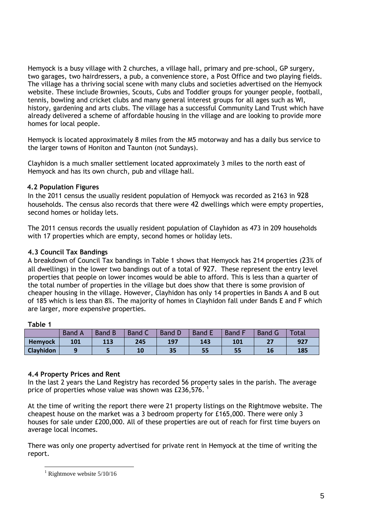Hemyock is a busy village with 2 churches, a village hall, primary and pre-school, GP surgery, two garages, two hairdressers, a pub, a convenience store, a Post Office and two playing fields. The village has a thriving social scene with many clubs and societies advertised on the Hemyock website. These include Brownies, Scouts, Cubs and Toddler groups for younger people, football, tennis, bowling and cricket clubs and many general interest groups for all ages such as WI, history, gardening and arts clubs. The village has a successful Community Land Trust which have already delivered a scheme of affordable housing in the village and are looking to provide more homes for local people.

Hemyock is located approximately 8 miles from the M5 motorway and has a daily bus service to the larger towns of Honiton and Taunton (not Sundays).

Clayhidon is a much smaller settlement located approximately 3 miles to the north east of Hemyock and has its own church, pub and village hall.

## **4.2 Population Figures**

In the 2011 census the usually resident population of Hemyock was recorded as 2163 in 928 households. The census also records that there were 42 dwellings which were empty properties, second homes or holiday lets.

The 2011 census records the usually resident population of Clayhidon as 473 in 209 households with 17 properties which are empty, second homes or holiday lets.

# **4.3 Council Tax Bandings**

A breakdown of Council Tax bandings in Table 1 shows that Hemyock has 214 properties (23% of all dwellings) in the lower two bandings out of a total of 927. These represent the entry level properties that people on lower incomes would be able to afford. This is less than a quarter of the total number of properties in the village but does show that there is some provision of cheaper housing in the village. However, Clayhidon has only 14 properties in Bands A and B out of 185 which is less than 8%. The majority of homes in Clayhidon fall under Bands E and F which are larger, more expensive properties.

#### **Table 1**

|                | <b>Band</b> | <b>Band B</b> | <b>Band C</b> | <b>Band D</b> | <b>Band</b> | Band I | <b>Band G</b> | Total |
|----------------|-------------|---------------|---------------|---------------|-------------|--------|---------------|-------|
| <b>Hemyock</b> | 101         | 113           | 245           | 197           | 143         | 101    | 27            | 927   |
| Clayhidon      |             |               | 10            | 35            | 55          | 55     |               | 185   |

#### **4.4 Property Prices and Rent**

In the last 2 years the Land Registry has recorded 56 property sales in the parish. The average price of properties whose value was shown was £236,576.<sup>1</sup>

At the time of writing the report there were 21 property listings on the Rightmove website. The cheapest house on the market was a 3 bedroom property for £165,000. There were only 3 houses for sale under £200,000. All of these properties are out of reach for first time buyers on average local incomes.

There was only one property advertised for private rent in Hemyock at the time of writing the report.

<sup>1</sup>  $1$  Rightmove website  $5/10/16$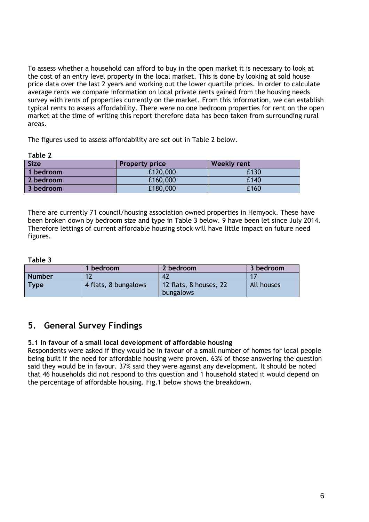To assess whether a household can afford to buy in the open market it is necessary to look at the cost of an entry level property in the local market. This is done by looking at sold house price data over the last 2 years and working out the lower quartile prices. In order to calculate average rents we compare information on local private rents gained from the housing needs survey with rents of properties currently on the market. From this information, we can establish typical rents to assess affordability. There were no one bedroom properties for rent on the open market at the time of writing this report therefore data has been taken from surrounding rural areas.

The figures used to assess affordability are set out in Table 2 below.

| L |  |
|---|--|
|---|--|

| <b>Size</b> | <b>Property price</b> | <b>Weekly rent</b> |
|-------------|-----------------------|--------------------|
| 1 bedroom   | £120,000              | £130               |
| 2 bedroom   | £160,000              | £140               |
| 3 bedroom   | £180,000              | £160               |

There are currently 71 council/housing association owned properties in Hemyock. These have been broken down by bedroom size and type in Table 3 below. 9 have been let since July 2014. Therefore lettings of current affordable housing stock will have little impact on future need figures.

#### **Table 3**

|               | bedroom              | 2 bedroom                                  | 3 bedroom  |
|---------------|----------------------|--------------------------------------------|------------|
| <b>Number</b> |                      | 42                                         |            |
| <b>Type</b>   | 4 flats, 8 bungalows | 12 flats, 8 houses, 22<br><b>bungalows</b> | All houses |

# **5. General Survey Findings**

# **5.1 In favour of a small local development of affordable housing**

Respondents were asked if they would be in favour of a small number of homes for local people being built if the need for affordable housing were proven. 63% of those answering the question said they would be in favour. 37% said they were against any development. It should be noted that 46 households did not respond to this question and 1 household stated it would depend on the percentage of affordable housing. Fig.1 below shows the breakdown.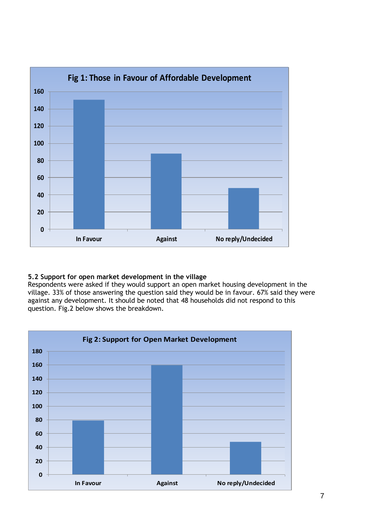

# **5.2 Support for open market development in the village**

Respondents were asked if they would support an open market housing development in the village. 33% of those answering the question said they would be in favour. 67% said they were against any development. It should be noted that 48 households did not respond to this question. Fig.2 below shows the breakdown.

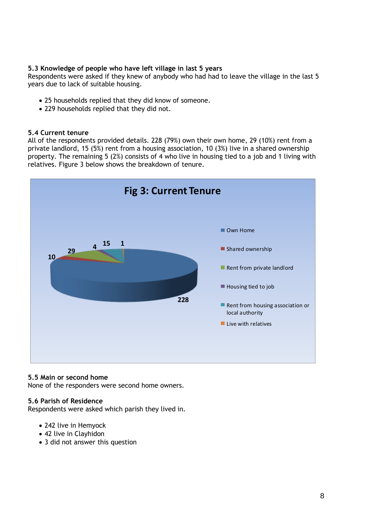## **5.3 Knowledge of people who have left village in last 5 years**

Respondents were asked if they knew of anybody who had had to leave the village in the last 5 years due to lack of suitable housing.

- 25 households replied that they did know of someone.
- 229 households replied that they did not.

#### **5.4 Current tenure**

All of the respondents provided details. 228 (79%) own their own home, 29 (10%) rent from a private landlord, 15 (5%) rent from a housing association, 10 (3%) live in a shared ownership property. The remaining 5 (2%) consists of 4 who live in housing tied to a job and 1 living with relatives. Figure 3 below shows the breakdown of tenure.



#### **5.5 Main or second home**

None of the responders were second home owners.

#### **5.6 Parish of Residence**

Respondents were asked which parish they lived in.

- 242 live in Hemyock
- 42 live in Clayhidon
- 3 did not answer this question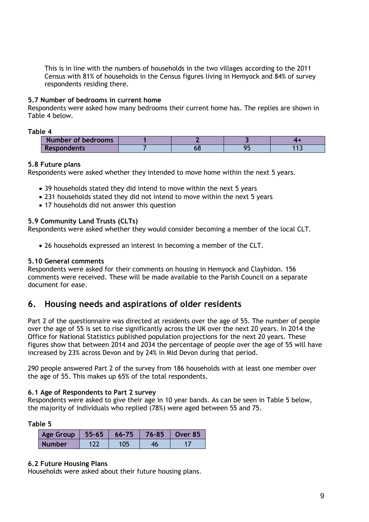This is in line with the numbers of households in the two villages according to the 2011 Census with 81% of households in the Census figures living in Hemyock and 84% of survey respondents residing there.

## **5.7 Number of bedrooms in current home**

Respondents were asked how many bedrooms their current home has. The replies are shown in Table 4 below.

**Table 4**

| Number of bedrooms |  |      |
|--------------------|--|------|
| <b>Respondents</b> |  | ست ا |

#### **5.8 Future plans**

Respondents were asked whether they intended to move home within the next 5 years.

- 39 households stated they did intend to move within the next 5 years
- 231 households stated they did not intend to move within the next 5 years
- 17 households did not answer this question

#### **5.9 Community Land Trusts (CLTs)**

Respondents were asked whether they would consider becoming a member of the local CLT.

26 households expressed an interest in becoming a member of the CLT.

#### **5.10 General comments**

Respondents were asked for their comments on housing in Hemyock and Clayhidon. 156 comments were received. These will be made available to the Parish Council on a separate document for ease.

# **6. Housing needs and aspirations of older residents**

Part 2 of the questionnaire was directed at residents over the age of 55. The number of people over the age of 55 is set to rise significantly across the UK over the next 20 years. In 2014 the Office for National Statistics published population projections for the next 20 years. These figures show that between 2014 and 2034 the percentage of people over the age of 55 will have increased by 23% across Devon and by 24% in Mid Devon during that period.

290 people answered Part 2 of the survey from 186 households with at least one member over the age of 55. This makes up 65% of the total respondents.

#### **6.1 Age of Respondents to Part 2 survey**

Respondents were asked to give their age in 10 year bands. As can be seen in Table 5 below, the majority of individuals who replied (78%) were aged between 55 and 75.

**Table 5**

| Age Group     | $ 55 - 65 $ | $66 - 75$ | 76-85 | Over 85 |
|---------------|-------------|-----------|-------|---------|
| <b>Number</b> |             |           |       |         |

#### **6.2 Future Housing Plans**

Households were asked about their future housing plans.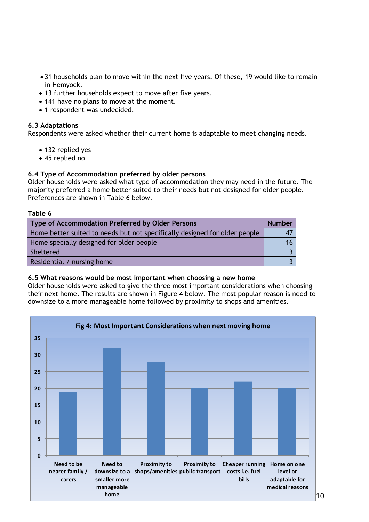- 31 households plan to move within the next five years. Of these, 19 would like to remain in Hemyock.
- 13 further households expect to move after five years.
- 141 have no plans to move at the moment.
- 1 respondent was undecided.

#### **6.3 Adaptations**

Respondents were asked whether their current home is adaptable to meet changing needs.

- 132 replied yes
- 45 replied no

#### **6.4 Type of Accommodation preferred by older persons**

Older households were asked what type of accommodation they may need in the future. The majority preferred a home better suited to their needs but not designed for older people. Preferences are shown in Table 6 below.

#### **Table 6**

| Type of Accommodation Preferred by Older Persons                           |  |  |
|----------------------------------------------------------------------------|--|--|
| Home better suited to needs but not specifically designed for older people |  |  |
| Home specially designed for older people                                   |  |  |
| Sheltered                                                                  |  |  |
| Residential / nursing home                                                 |  |  |

#### **6.5 What reasons would be most important when choosing a new home**

Older households were asked to give the three most important considerations when choosing their next home. The results are shown in Figure 4 below. The most popular reason is need to downsize to a more manageable home followed by proximity to shops and amenities.

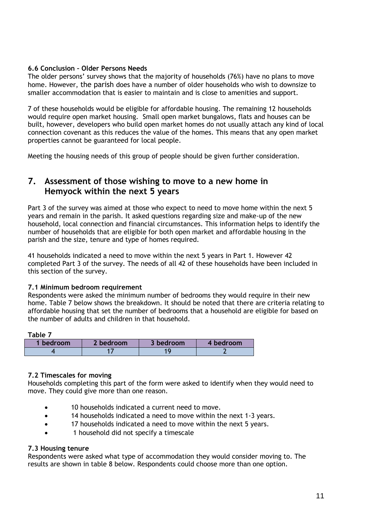## **6.6 Conclusion – Older Persons Needs**

The older persons' survey shows that the majority of households (76%) have no plans to move home. However, the parish does have a number of older households who wish to downsize to smaller accommodation that is easier to maintain and is close to amenities and support.

7 of these households would be eligible for affordable housing. The remaining 12 households would require open market housing. Small open market bungalows, flats and houses can be built, however, developers who build open market homes do not usually attach any kind of local connection covenant as this reduces the value of the homes. This means that any open market properties cannot be guaranteed for local people.

Meeting the housing needs of this group of people should be given further consideration.

# **7. Assessment of those wishing to move to a new home in Hemyock within the next 5 years**

Part 3 of the survey was aimed at those who expect to need to move home within the next 5 years and remain in the parish. It asked questions regarding size and make-up of the new household, local connection and financial circumstances. This information helps to identify the number of households that are eligible for both open market and affordable housing in the parish and the size, tenure and type of homes required.

41 households indicated a need to move within the next 5 years in Part 1. However 42 completed Part 3 of the survey. The needs of all 42 of these households have been included in this section of the survey.

#### **7.1 Minimum bedroom requirement**

Respondents were asked the minimum number of bedrooms they would require in their new home. Table 7 below shows the breakdown. It should be noted that there are criteria relating to affordable housing that set the number of bedrooms that a household are eligible for based on the number of adults and children in that household.

| Table 7   |           |           |           |
|-----------|-----------|-----------|-----------|
| 1 bedroom | 2 bedroom | 3 bedroom | 4 bedroom |
|           |           |           |           |

#### **7.2 Timescales for moving**

Households completing this part of the form were asked to identify when they would need to move. They could give more than one reason.

- 10 households indicated a current need to move.
- 14 households indicated a need to move within the next 1-3 years.
- 17 households indicated a need to move within the next 5 years.
- 1 household did not specify a timescale

#### **7.3 Housing tenure**

Respondents were asked what type of accommodation they would consider moving to. The results are shown in table 8 below. Respondents could choose more than one option.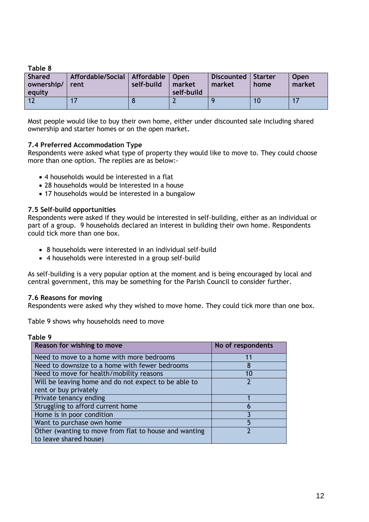**Table 8**

| <b>Shared</b><br>ownership/ rent<br>equity | Affordable/Social   Affordable   Open | self-build | market<br>self-build | Discounted   Starter<br>market | home | <b>Open</b><br>market |
|--------------------------------------------|---------------------------------------|------------|----------------------|--------------------------------|------|-----------------------|
|                                            |                                       |            |                      |                                |      |                       |

Most people would like to buy their own home, either under discounted sale including shared ownership and starter homes or on the open market.

#### **7.4 Preferred Accommodation Type**

Respondents were asked what type of property they would like to move to. They could choose more than one option. The replies are as below:-

- 4 households would be interested in a flat
- 28 households would be interested in a house
- 17 households would be interested in a bungalow

#### **7.5 Self-build opportunities**

Respondents were asked if they would be interested in self-building, either as an individual or part of a group. 9 households declared an interest in building their own home. Respondents could tick more than one box.

- 8 households were interested in an individual self-build
- 4 households were interested in a group self-build

As self-building is a very popular option at the moment and is being encouraged by local and central government, this may be something for the Parish Council to consider further.

#### **7.6 Reasons for moving**

Respondents were asked why they wished to move home. They could tick more than one box.

Table 9 shows why households need to move

## **Table 9**

| Reason for wishing to move                            | No of respondents |
|-------------------------------------------------------|-------------------|
| Need to move to a home with more bedrooms             | 11                |
| Need to downsize to a home with fewer bedrooms        | 8                 |
| Need to move for health/mobility reasons              | 10                |
| Will be leaving home and do not expect to be able to  |                   |
| rent or buy privately                                 |                   |
| Private tenancy ending                                |                   |
| Struggling to afford current home                     | 6                 |
| Home is in poor condition                             |                   |
| Want to purchase own home                             | 5                 |
| Other (wanting to move from flat to house and wanting |                   |
| to leave shared house)                                |                   |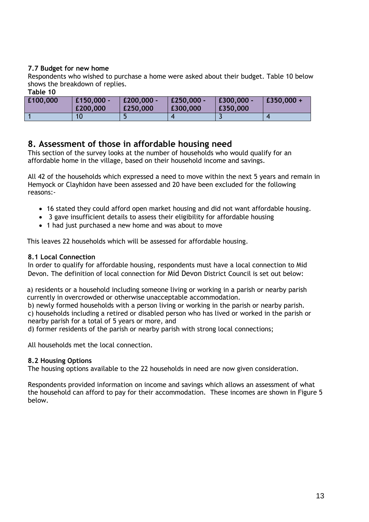## **7.7 Budget for new home**

Respondents who wished to purchase a home were asked about their budget. Table 10 below shows the breakdown of replies. **Table 10**

| ו מטוכ וט |                        |                        |                          |                        |              |
|-----------|------------------------|------------------------|--------------------------|------------------------|--------------|
| £100,000  | £150,000 -<br>£200,000 | £200,000 -<br>£250,000 | $E250.000 -$<br>£300,000 | £300,000 -<br>£350,000 | $£350,000 +$ |
|           |                        |                        |                          |                        |              |

# **8. Assessment of those in affordable housing need**

This section of the survey looks at the number of households who would qualify for an affordable home in the village, based on their household income and savings.

All 42 of the households which expressed a need to move within the next 5 years and remain in Hemyock or Clayhidon have been assessed and 20 have been excluded for the following reasons:-

- 16 stated they could afford open market housing and did not want affordable housing.
- 3 gave insufficient details to assess their eligibility for affordable housing
- 1 had just purchased a new home and was about to move

This leaves 22 households which will be assessed for affordable housing.

#### **8.1 Local Connection**

In order to qualify for affordable housing, respondents must have a local connection to Mid Devon. The definition of local connection for Mid Devon District Council is set out below:

a) residents or a household including someone living or working in a parish or nearby parish currently in overcrowded or otherwise unacceptable accommodation.

b) newly formed households with a person living or working in the parish or nearby parish. c) households including a retired or disabled person who has lived or worked in the parish or nearby parish for a total of 5 years or more, and

d) former residents of the parish or nearby parish with strong local connections;

All households met the local connection.

#### **8.2 Housing Options**

The housing options available to the 22 households in need are now given consideration.

Respondents provided information on income and savings which allows an assessment of what the household can afford to pay for their accommodation. These incomes are shown in Figure 5 below.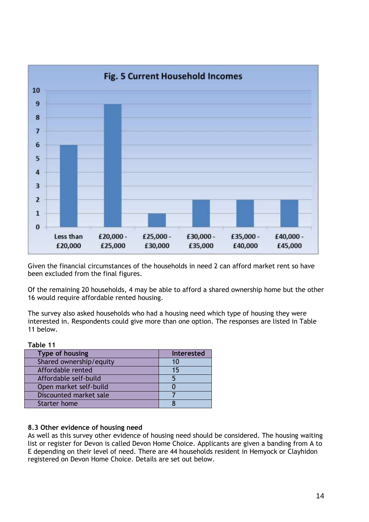

Given the financial circumstances of the households in need 2 can afford market rent so have been excluded from the final figures.

Of the remaining 20 households, 4 may be able to afford a shared ownership home but the other 16 would require affordable rented housing.

The survey also asked households who had a housing need which type of housing they were interested in. Respondents could give more than one option. The responses are listed in Table 11 below.

| rable 11                |                   |
|-------------------------|-------------------|
| Type of housing         | <b>Interested</b> |
| Shared ownership/equity | 10                |
| Affordable rented       | 15                |
| Affordable self-build   |                   |
| Open market self-build  |                   |
| Discounted market sale  |                   |
| Starter home            |                   |

# **8.3 Other evidence of housing need**

**Table 11**

As well as this survey other evidence of housing need should be considered. The housing waiting list or register for Devon is called Devon Home Choice. Applicants are given a banding from A to E depending on their level of need. There are 44 households resident in Hemyock or Clayhidon registered on Devon Home Choice. Details are set out below.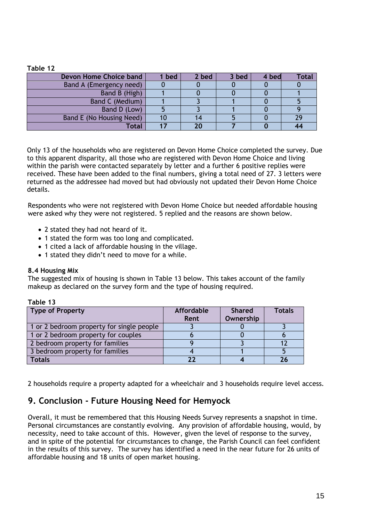#### **Table 12**

| Devon Home Choice band   | bed | 2 bed | 3 bed | 4 bed | Total |
|--------------------------|-----|-------|-------|-------|-------|
| Band A (Emergency need)  |     |       |       |       |       |
| Band B (High)            |     |       |       |       |       |
| Band C (Medium)          |     |       |       |       |       |
| Band D (Low)             |     |       |       |       |       |
| Band E (No Housing Need) |     |       |       |       | 29    |
| Total                    |     | 20    |       |       |       |

Only 13 of the households who are registered on Devon Home Choice completed the survey. Due to this apparent disparity, all those who are registered with Devon Home Choice and living within the parish were contacted separately by letter and a further 6 positive replies were received. These have been added to the final numbers, giving a total need of 27. 3 letters were returned as the addressee had moved but had obviously not updated their Devon Home Choice details.

Respondents who were not registered with Devon Home Choice but needed affordable housing were asked why they were not registered. 5 replied and the reasons are shown below.

- 2 stated they had not heard of it.
- 1 stated the form was too long and complicated.
- 1 cited a lack of affordable housing in the village.
- 1 stated they didn't need to move for a while.

#### **8.4 Housing Mix**

The suggested mix of housing is shown in Table 13 below. This takes account of the family makeup as declared on the survey form and the type of housing required.

#### **Table 13**

| Type of Property                          | <b>Affordable</b><br>Rent | <b>Shared</b><br>Ownership | <b>Totals</b> |
|-------------------------------------------|---------------------------|----------------------------|---------------|
| 1 or 2 bedroom property for single people |                           |                            |               |
| 1 or 2 bedroom property for couples       |                           |                            |               |
| 2 bedroom property for families           |                           |                            |               |
| 3 bedroom property for families           |                           |                            |               |
| <b>Totals</b>                             | つつ                        |                            |               |

2 households require a property adapted for a wheelchair and 3 households require level access.

# **9. Conclusion - Future Housing Need for Hemyock**

Overall, it must be remembered that this Housing Needs Survey represents a snapshot in time. Personal circumstances are constantly evolving. Any provision of affordable housing, would, by necessity, need to take account of this. However, given the level of response to the survey, and in spite of the potential for circumstances to change, the Parish Council can feel confident in the results of this survey. The survey has identified a need in the near future for 26 units of affordable housing and 18 units of open market housing.